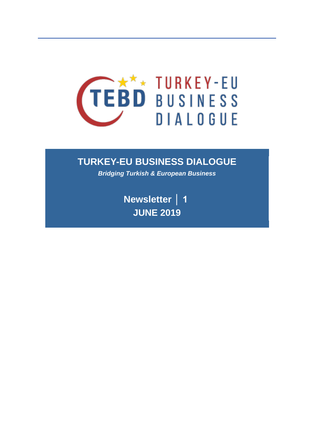

# **TURKEY-EU BUSINESS DIALOGUE**

*Bridging Turkish & European Business*

**Newsletter │ 1 JUNE 2019**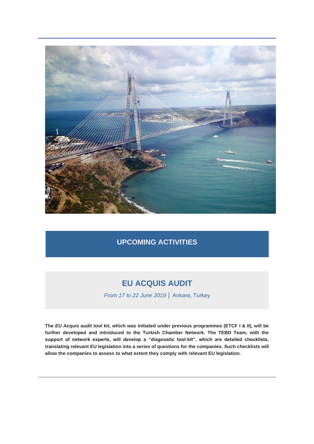

#### **UPCOMING ACTIVITIES**

# **EU ACQUIS AUDIT**

*From 17 to 22 June 2019* │ Ankara, Turkey

**The** *EU Acquis audit tool kit***, which was initiated under previous programmes (ETCF I & II), will be further developed and introduced to the Turkish Chamber Network. The TEBD Team, with the support of network experts, will develop a "diagnostic tool-kit", which are detailed checklists, translating relevant EU legislation into a series of questions for the companies. Such checklists will allow the companies to assess to what extent they comply with relevant EU legislation.**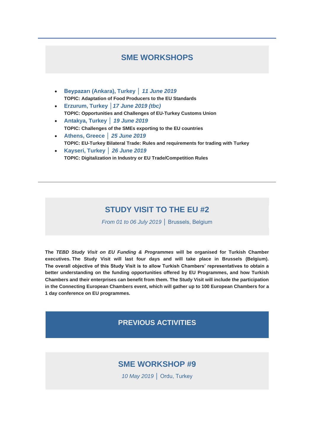#### **SME WORKSHOPS**

- **Beypazarı (Ankara), Turkey │** *11 June 2019* **TOPIC: Adaptation of Food Producers to the EU Standards**
- **Erzurum, Turkey │***17 June 2019 (tbc)* **TOPIC: Opportunities and Challenges of EU-Turkey Customs Union**
- **Antakya, Turkey │** *19 June 2019* **TOPIC: Challenges of the SMEs exporting to the EU countries**
- **Athens, Greece │** *25 June 2019* **TOPIC: EU-Turkey Bilateral Trade: Rules and requirements for trading with Turkey**
- **Kayseri, Turkey │** *26 June 2019* **TOPIC: Digitalization in Industry or EU Trade/Competition Rules**

### **STUDY VISIT TO THE EU #2**

*From 01 to 06 July 2019* │ Brussels, Belgium

**The** *TEBD Study Visit on EU Funding & Programmes* **will be organised for Turkish Chamber executives. The Study Visit will last four days and will take place in Brussels (Belgium). The overall objective of this Study Visit is to allow Turkish Chambers' representatives to obtain a better understanding on the funding opportunities offered by EU Programmes, and how Turkish Chambers and their enterprises can benefit from them. The Study Visit will include the participation in the Connecting European Chambers event, which will gather up to 100 European Chambers for a 1 day conference on EU programmes.**

#### **PREVIOUS ACTIVITIES**

### **SME WORKSHOP #9**

*10 May 2019* │ Ordu, Turkey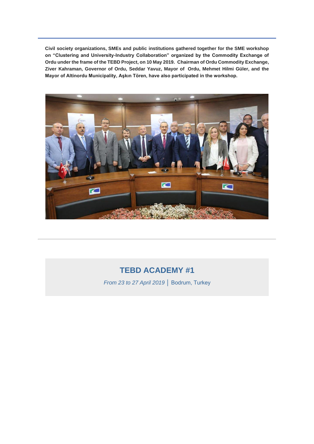**Civil society organizations, SMEs and public institutions gathered together for the SME workshop on "Clustering and University-Industry Collaboration" organized by the Commodity Exchange of Ordu under the frame of the TEBD Project, on 10 May 2019. Chairman of Ordu Commodity Exchange, Ziver Kahraman, Governor of Ordu, Seddar Yavuz, Mayor of Ordu, Mehmet Hilmi Güler, and the Mayor of Altinordu Municipality, Aşkın Tören, have also participated in the workshop.**



# **TEBD ACADEMY #1**

*From 23 to 27 April 2019* │ Bodrum, Turkey